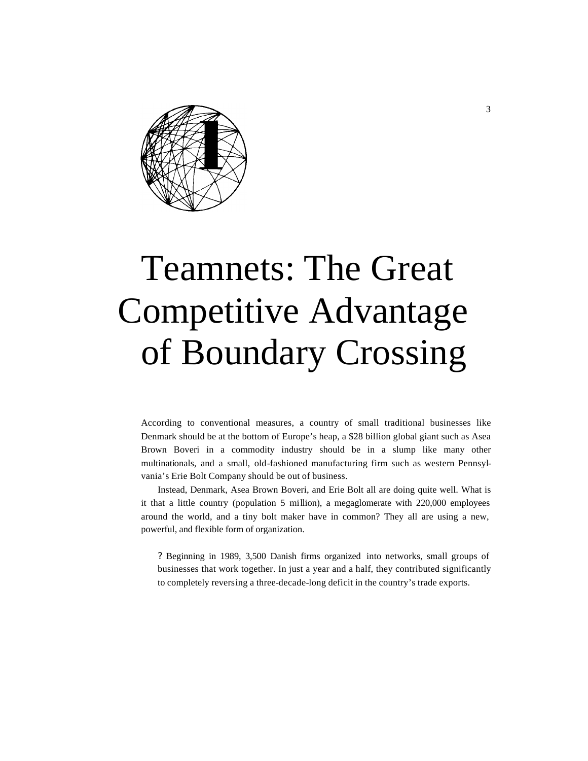

# Teamnets: The Great Competitive Advantage of Boundary Crossing

According to conventional measures, a country of small traditional businesses like Denmark should be at the bottom of Europe's heap, a \$28 billion global giant such as Asea Brown Boveri in a commodity industry should be in a slump like many other multinationals, and a small, old-fashioned manufacturing firm such as western Pennsylvania's Erie Bolt Company should be out of business.

Instead, Denmark, Asea Brown Boveri, and Erie Bolt all are doing quite well. What is it that a little country (population 5 million), a megaglomerate with 220,000 employees around the world, and a tiny bolt maker have in common? They all are using a new, powerful, and flexible form of organization.

? Beginning in 1989, 3,500 Danish firms organized into networks, small groups of businesses that work together. In just a year and a half, they contributed significantly to completely reversing a three-decade-long deficit in the country's trade exports.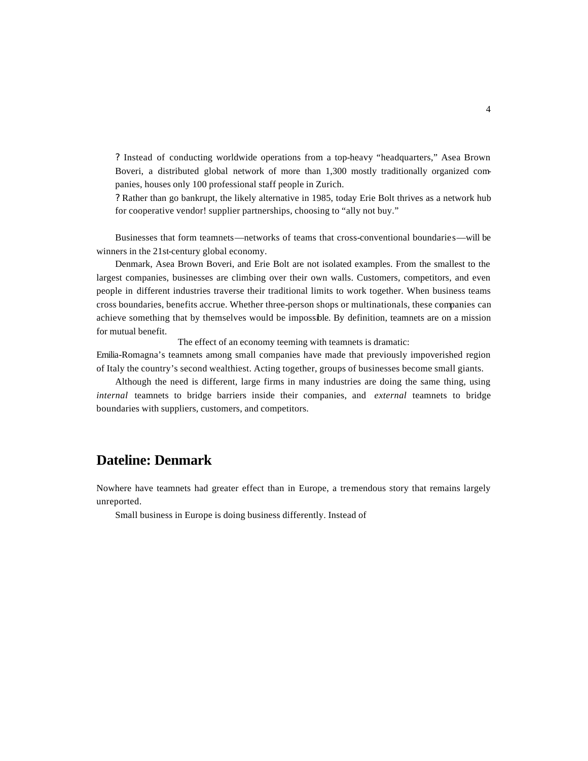? Instead of conducting worldwide operations from a top-heavy "headquarters," Asea Brown Boveri, a distributed global network of more than 1,300 mostly traditionally organized companies, houses only 100 professional staff people in Zurich.

? Rather than go bankrupt, the likely alternative in 1985, today Erie Bolt thrives as a network hub for cooperative vendor! supplier partnerships, choosing to "ally not buy."

Businesses that form teamnets—networks of teams that cross-conventional boundaries—will be winners in the 21st-century global economy.

Denmark, Asea Brown Boveri, and Erie Bolt are not isolated examples. From the smallest to the largest companies, businesses are climbing over their own walls. Customers, competitors, and even people in different industries traverse their traditional limits to work together. When business teams cross boundaries, benefits accrue. Whether three-person shops or multinationals, these companies can achieve something that by themselves would be impossible. By definition, teamnets are on a mission for mutual benefit.

The effect of an economy teeming with teamnets is dramatic:

Emilia-Romagna's teamnets among small companies have made that previously impoverished region of Italy the country's second wealthiest. Acting together, groups of businesses become small giants.

Although the need is different, large firms in many industries are doing the same thing, using *internal* teamnets to bridge barriers inside their companies, and *external* teamnets to bridge boundaries with suppliers, customers, and competitors.

# **Dateline: Denmark**

Nowhere have teamnets had greater effect than in Europe, a tremendous story that remains largely unreported.

Small business in Europe is doing business differently. Instead of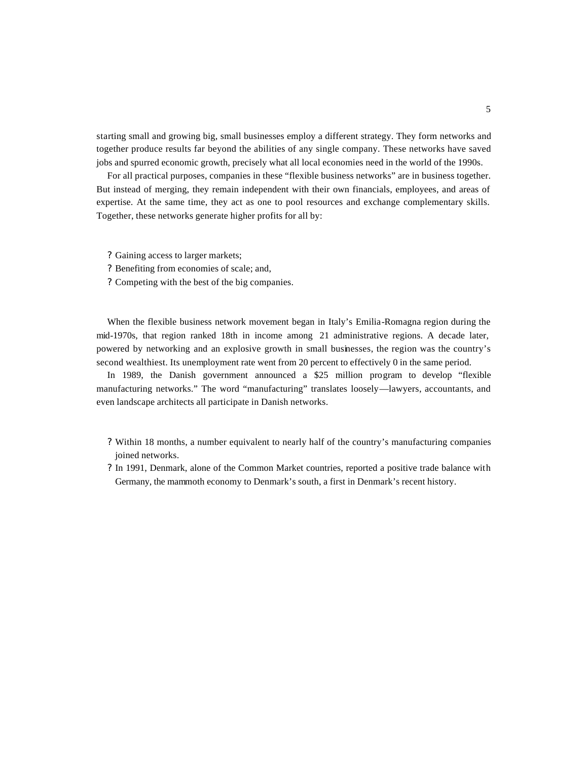starting small and growing big, small businesses employ a different strategy. They form networks and together produce results far beyond the abilities of any single company. These networks have saved jobs and spurred economic growth, precisely what all local economies need in the world of the 1990s.

For all practical purposes, companies in these "flexible business networks" are in business together. But instead of merging, they remain independent with their own financials, employees, and areas of expertise. At the same time, they act as one to pool resources and exchange complementary skills. Together, these networks generate higher profits for all by:

- ? Gaining access to larger markets;
- ? Benefiting from economies of scale; and,
- ? Competing with the best of the big companies.

When the flexible business network movement began in Italy's Emilia-Romagna region during the mid-1970s, that region ranked 18th in income among 21 administrative regions. A decade later, powered by networking and an explosive growth in small businesses, the region was the country's second wealthiest. Its unemployment rate went from 20 percent to effectively 0 in the same period.

In 1989, the Danish government announced a \$25 million program to develop "flexible manufacturing networks." The word "manufacturing" translates loosely—lawyers, accountants, and even landscape architects all participate in Danish networks.

- ? Within 18 months, a number equivalent to nearly half of the country's manufacturing companies joined networks.
- ? In 1991, Denmark, alone of the Common Market countries, reported a positive trade balance with Germany, the mammoth economy to Denmark's south, a first in Denmark's recent history.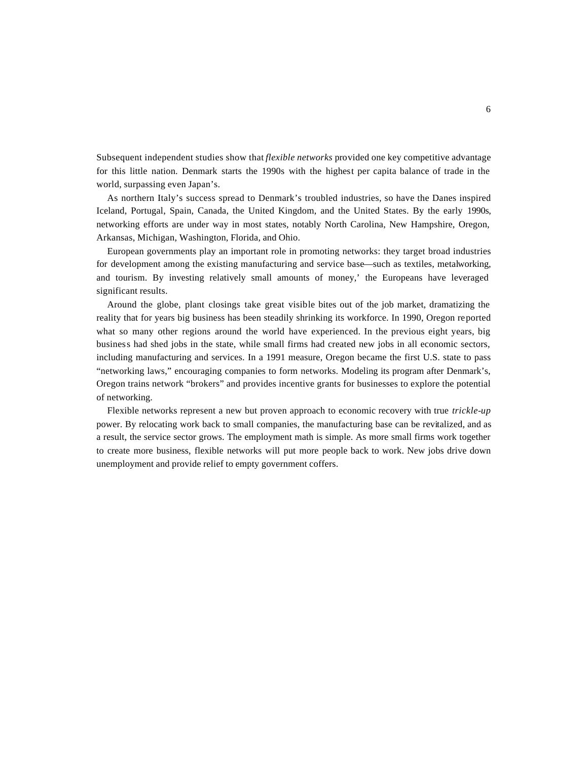Subsequent independent studies show that *flexible networks* provided one key competitive advantage for this little nation. Denmark starts the 1990s with the highest per capita balance of trade in the world, surpassing even Japan's.

As northern Italy's success spread to Denmark's troubled industries, so have the Danes inspired Iceland, Portugal, Spain, Canada, the United Kingdom, and the United States. By the early 1990s, networking efforts are under way in most states, notably North Carolina, New Hampshire, Oregon, Arkansas, Michigan, Washington, Florida, and Ohio.

European governments play an important role in promoting networks: they target broad industries for development among the existing manufacturing and service base—such as textiles, metalworking, and tourism. By investing relatively small amounts of money,' the Europeans have leveraged significant results.

Around the globe, plant closings take great visible bites out of the job market, dramatizing the reality that for years big business has been steadily shrinking its workforce. In 1990, Oregon reported what so many other regions around the world have experienced. In the previous eight years, big business had shed jobs in the state, while small firms had created new jobs in all economic sectors, including manufacturing and services. In a 1991 measure, Oregon became the first U.S. state to pass "networking laws," encouraging companies to form networks. Modeling its program after Denmark's, Oregon trains network "brokers" and provides incentive grants for businesses to explore the potential of networking.

Flexible networks represent a new but proven approach to economic recovery with true *trickle-up*  power. By relocating work back to small companies, the manufacturing base can be revitalized, and as a result, the service sector grows. The employment math is simple. As more small firms work together to create more business, flexible networks will put more people back to work. New jobs drive down unemployment and provide relief to empty government coffers.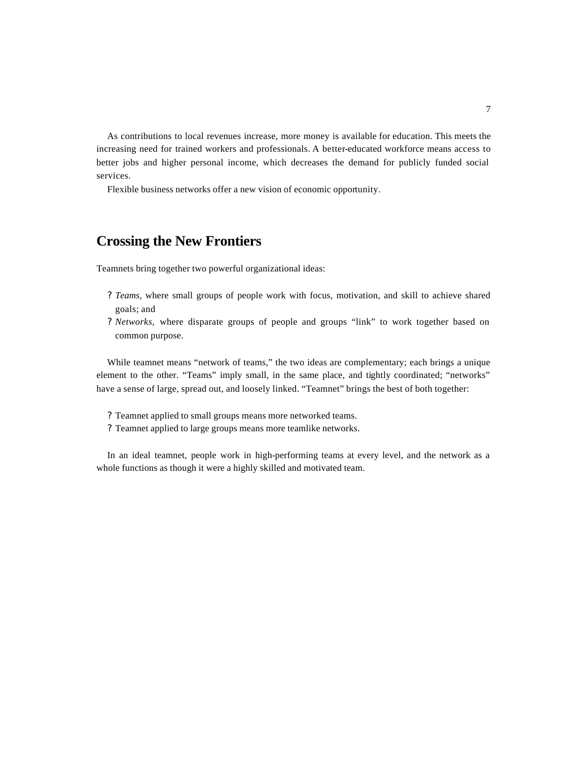As contributions to local revenues increase, more money is available for education. This meets the increasing need for trained workers and professionals. A better-educated workforce means access to better jobs and higher personal income, which decreases the demand for publicly funded social services.

Flexible business networks offer a new vision of economic opportunity.

# **Crossing the New Frontiers**

Teamnets bring together two powerful organizational ideas:

- *? Teams,* where small groups of people work with focus, motivation, and skill to achieve shared goals; and
- *? Networks,* where disparate groups of people and groups "link" to work together based on common purpose.

While teamnet means "network of teams," the two ideas are complementary; each brings a unique element to the other. "Teams" imply small, in the same place, and tightly coordinated; "networks" have a sense of large, spread out, and loosely linked. "Teamnet" brings the best of both together:

- ? Teamnet applied to small groups means more networked teams.
- ? Teamnet applied to large groups means more teamlike networks.

In an ideal teamnet, people work in high-performing teams at every level, and the network as a whole functions as though it were a highly skilled and motivated team.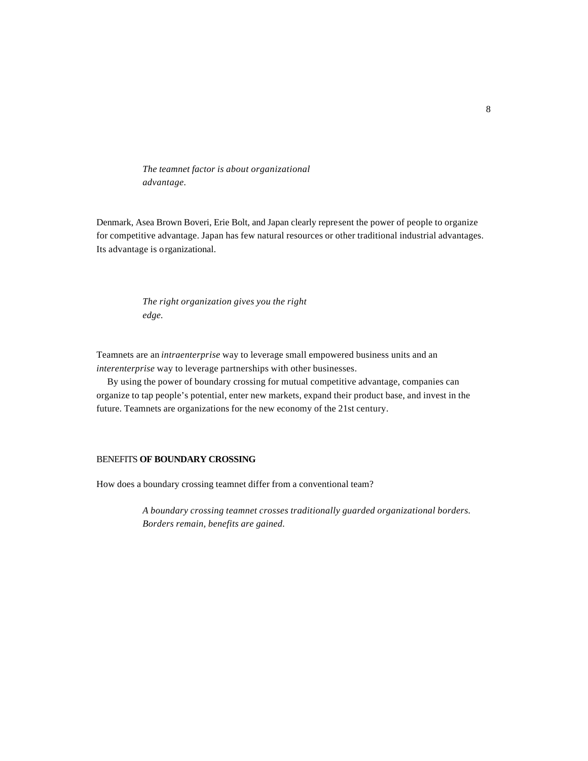*The teamnet factor is about organizational advantage.*

Denmark, Asea Brown Boveri, Erie Bolt, and Japan clearly represent the power of people to organize for competitive advantage. Japan has few natural resources or other traditional industrial advantages. Its advantage is organizational.

> *The right organization gives you the right edge.*

Teamnets are an *intraenterprise* way to leverage small empowered business units and an *interenterprise* way to leverage partnerships with other businesses.

By using the power of boundary crossing for mutual competitive advantage, companies can organize to tap people's potential, enter new markets, expand their product base, and invest in the future. Teamnets are organizations for the new economy of the 21st century.

## BENEFITS **OF BOUNDARY CROSSING**

How does a boundary crossing teamnet differ from a conventional team?

*A boundary crossing teamnet crosses traditionally guarded organizational borders. Borders remain, benefits are gained.*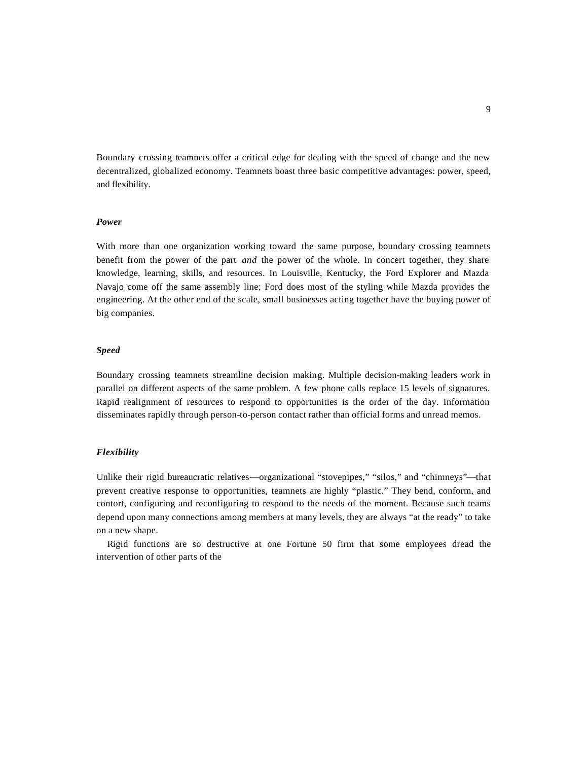Boundary crossing teamnets offer a critical edge for dealing with the speed of change and the new decentralized, globalized economy. Teamnets boast three basic competitive advantages: power, speed, and flexibility.

# *Power*

With more than one organization working toward the same purpose, boundary crossing teamnets benefit from the power of the part *and* the power of the whole. In concert together, they share knowledge, learning, skills, and resources. In Louisville, Kentucky, the Ford Explorer and Mazda Navajo come off the same assembly line; Ford does most of the styling while Mazda provides the engineering. At the other end of the scale, small businesses acting together have the buying power of big companies.

## *Speed*

Boundary crossing teamnets streamline decision making. Multiple decision-making leaders work in parallel on different aspects of the same problem. A few phone calls replace 15 levels of signatures. Rapid realignment of resources to respond to opportunities is the order of the day. Information disseminates rapidly through person-to-person contact rather than official forms and unread memos.

#### *Flexibility*

Unlike their rigid bureaucratic relatives—organizational "stovepipes," "silos," and "chimneys"—that prevent creative response to opportunities, teamnets are highly "plastic." They bend, conform, and contort, configuring and reconfiguring to respond to the needs of the moment. Because such teams depend upon many connections among members at many levels, they are always "at the ready" to take on a new shape.

Rigid functions are so destructive at one Fortune 50 firm that some employees dread the intervention of other parts of the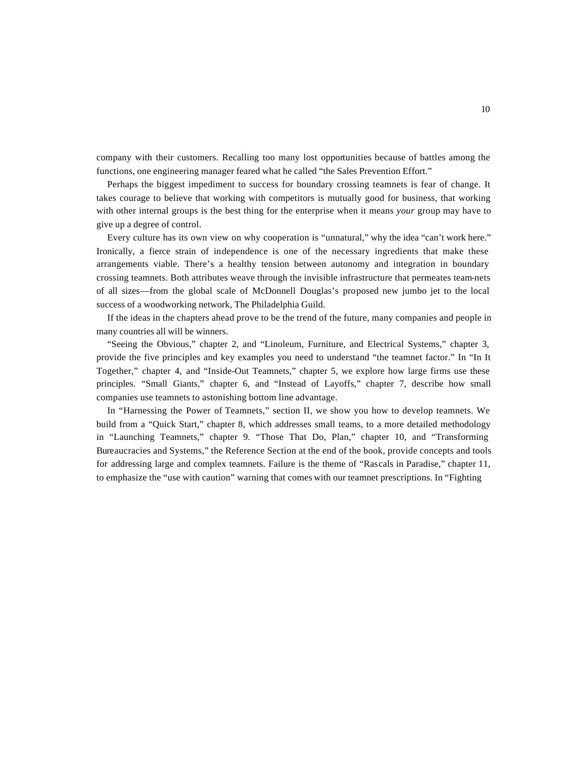company with their customers. Recalling too many lost opportunities because of battles among the functions, one engineering manager feared what he called "the Sales Prevention Effort."

Perhaps the biggest impediment to success for boundary crossing teamnets is fear of change. It takes courage to believe that working with competitors is mutually good for business, that working with other internal groups is the best thing for the enterprise when it means *your* group may have to give up a degree of control.

Every culture has its own view on why cooperation is "unnatural," why the idea "can't work here." Ironically, a fierce strain of independence is one of the necessary ingredients that make these arrangements viable. There's a healthy tension between autonomy and integration in boundary crossing teamnets. Both attributes weave through the invisible infrastructure that permeates team-nets of all sizes—from the global scale of McDonnell Douglas's proposed new jumbo jet to the local success of a woodworking network, The Philadelphia Guild.

If the ideas in the chapters ahead prove to be the trend of the future, many companies and people in many countries all will be winners.

"Seeing the Obvious," chapter 2, and "Linoleum, Furniture, and Electrical Systems," chapter 3, provide the five principles and key examples you need to understand "the teamnet factor." In "In It Together," chapter 4, and "Inside-Out Teamnets," chapter 5, we explore how large firms use these principles. "Small Giants," chapter 6, and "Instead of Layoffs," chapter 7, describe how small companies use teamnets to astonishing bottom line advantage.

In "Harnessing the Power of Teamnets," section II, we show you how to develop teamnets. We build from a "Quick Start," chapter 8, which addresses small teams, to a more detailed methodology in "Launching Teamnets," chapter 9. "Those That Do, Plan," chapter 10, and "Transforming Bureaucracies and Systems," the Reference Section at the end of the book, provide concepts and tools for addressing large and complex teamnets. Failure is the theme of "Rascals in Paradise," chapter 11, to emphasize the "use with caution" warning that comes with our teamnet prescriptions. In "Fighting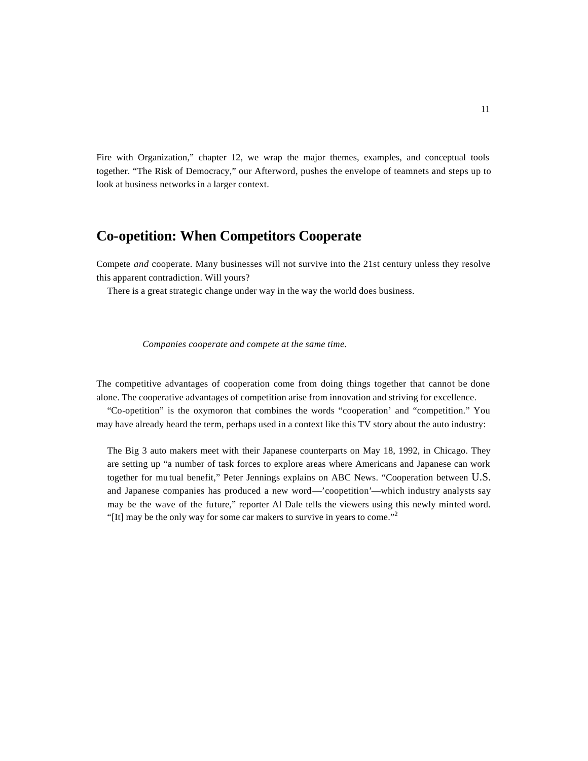Fire with Organization," chapter 12, we wrap the major themes, examples, and conceptual tools together. "The Risk of Democracy," our Afterword, pushes the envelope of teamnets and steps up to look at business networks in a larger context.

# **Co-opetition: When Competitors Cooperate**

Compete *and* cooperate. Many businesses will not survive into the 21st century unless they resolve this apparent contradiction. Will yours?

There is a great strategic change under way in the way the world does business.

*Companies cooperate and compete at the same time.*

The competitive advantages of cooperation come from doing things together that cannot be done alone. The cooperative advantages of competition arise from innovation and striving for excellence.

"Co-opetition" is the oxymoron that combines the words "cooperation' and "competition." You may have already heard the term, perhaps used in a context like this TV story about the auto industry:

The Big 3 auto makers meet with their Japanese counterparts on May 18, 1992, in Chicago. They are setting up "a number of task forces to explore areas where Americans and Japanese can work together for mu tual benefit," Peter Jennings explains on ABC News. "Cooperation between U.S. and Japanese companies has produced a new word—'coopetition'—which industry analysts say may be the wave of the future," reporter Al Dale tells the viewers using this newly minted word. "[It] may be the only way for some car makers to survive in years to come."<sup>2</sup>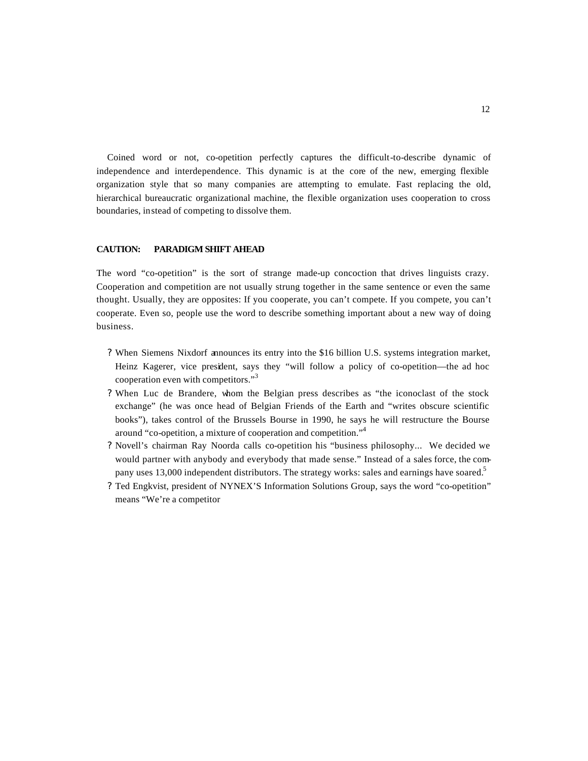Coined word or not, co-opetition perfectly captures the difficult-to-describe dynamic of independence and interdependence. This dynamic is at the core of the new, emerging flexible organization style that so many companies are attempting to emulate. Fast replacing the old, hierarchical bureaucratic organizational machine, the flexible organization uses cooperation to cross boundaries, instead of competing to dissolve them.

## **CAUTION: PARADIGM SHIFT AHEAD**

The word "co-opetition" is the sort of strange made-up concoction that drives linguists crazy. Cooperation and competition are not usually strung together in the same sentence or even the same thought. Usually, they are opposites: If you cooperate, you can't compete. If you compete, you can't cooperate. Even so, people use the word to describe something important about a new way of doing business.

- ? When Siemens Nixdorf announces its entry into the \$16 billion U.S. systems integration market, Heinz Kagerer, vice president, says they "will follow a policy of co-opetition—the ad hoc cooperation even with competitors."<sup>3</sup>
- ? When Luc de Brandere, whom the Belgian press describes as "the iconoclast of the stock exchange" (he was once head of Belgian Friends of the Earth and "writes obscure scientific books"), takes control of the Brussels Bourse in 1990, he says he will restructure the Bourse around "co-opetition, a mixture of cooperation and competition."<sup>4</sup>
- ? Novell's chairman Ray Noorda calls co-opetition his "business philosophy... We decided we would partner with anybody and everybody that made sense." Instead of a sales force, the company uses 13,000 independent distributors. The strategy works: sales and earnings have soared.<sup>5</sup>
- ? Ted Engkvist, president of NYNEX'S Information Solutions Group, says the word "co-opetition" means "We're a competitor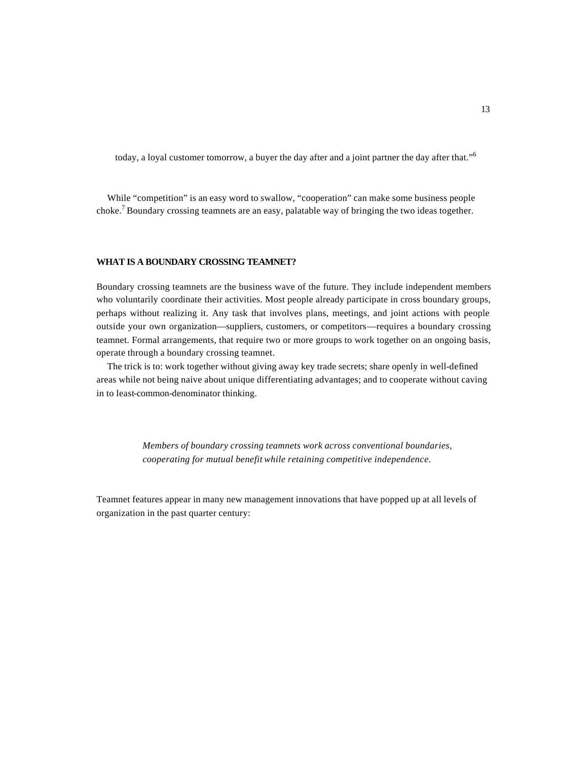today, a loyal customer tomorrow, a buyer the day after and a joint partner the day after that."<sup>6</sup>

While "competition" is an easy word to swallow, "cooperation" can make some business people choke.<sup>7</sup> Boundary crossing teamnets are an easy, palatable way of bringing the two ideas together.

## **WHAT IS A BOUNDARY CROSSING TEAMNET?**

Boundary crossing teamnets are the business wave of the future. They include independent members who voluntarily coordinate their activities. Most people already participate in cross boundary groups, perhaps without realizing it. Any task that involves plans, meetings, and joint actions with people outside your own organization—suppliers, customers, or competitors—requires a boundary crossing teamnet. Formal arrangements, that require two or more groups to work together on an ongoing basis, operate through a boundary crossing teamnet.

The trick is to: work together without giving away key trade secrets; share openly in well-defined areas while not being naive about unique differentiating advantages; and to cooperate without caving in to least-common-denominator thinking.

> *Members of boundary crossing teamnets work across conventional boundaries, cooperating for mutual benefit while retaining competitive independence.*

Teamnet features appear in many new management innovations that have popped up at all levels of organization in the past quarter century: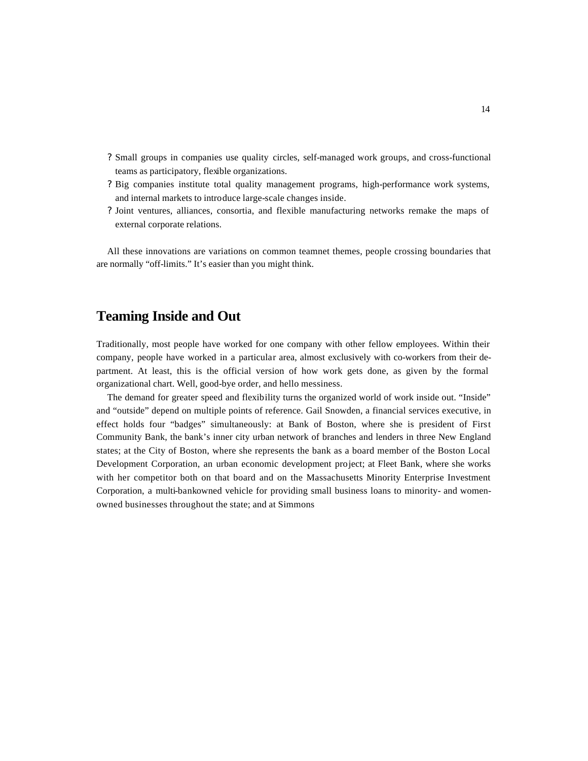- ? Small groups in companies use quality circles, self-managed work groups, and cross-functional teams as participatory, flexible organizations.
- ? Big companies institute total quality management programs, high-performance work systems, and internal markets to introduce large-scale changes inside.
- ? Joint ventures, alliances, consortia, and flexible manufacturing networks remake the maps of external corporate relations.

All these innovations are variations on common teamnet themes, people crossing boundaries that are normally "off-limits." It's easier than you might think.

# **Teaming Inside and Out**

Traditionally, most people have worked for one company with other fellow employees. Within their company, people have worked in a particular area, almost exclusively with co-workers from their department. At least, this is the official version of how work gets done, as given by the formal organizational chart. Well, good-bye order, and hello messiness.

The demand for greater speed and flexibility turns the organized world of work inside out. "Inside" and "outside" depend on multiple points of reference. Gail Snowden, a financial services executive, in effect holds four "badges" simultaneously: at Bank of Boston, where she is president of First Community Bank, the bank's inner city urban network of branches and lenders in three New England states; at the City of Boston, where she represents the bank as a board member of the Boston Local Development Corporation, an urban economic development project; at Fleet Bank, where she works with her competitor both on that board and on the Massachusetts Minority Enterprise Investment Corporation, a multi-bankowned vehicle for providing small business loans to minority- and womenowned businesses throughout the state; and at Simmons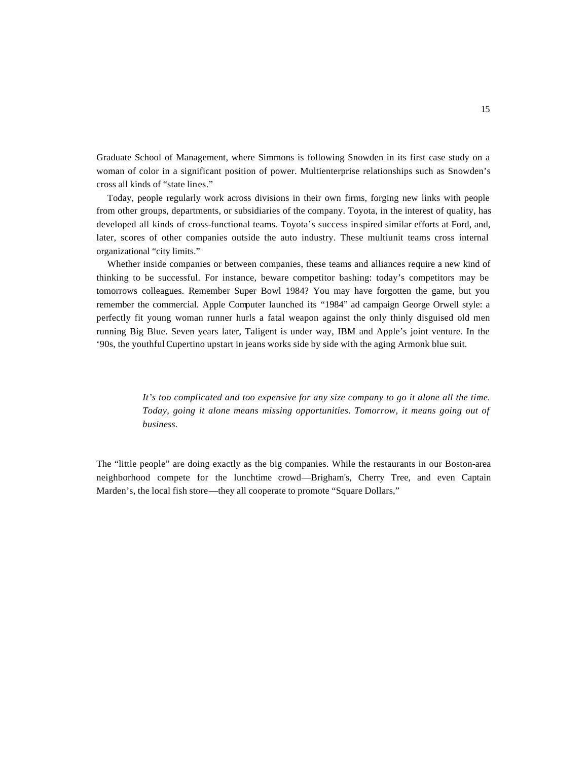Graduate School of Management, where Simmons is following Snowden in its first case study on a woman of color in a significant position of power. Multienterprise relationships such as Snowden's cross all kinds of "state lines."

Today, people regularly work across divisions in their own firms, forging new links with people from other groups, departments, or subsidiaries of the company. Toyota, in the interest of quality, has developed all kinds of cross-functional teams. Toyota's success inspired similar efforts at Ford, and, later, scores of other companies outside the auto industry. These multiunit teams cross internal organizational "city limits."

Whether inside companies or between companies, these teams and alliances require a new kind of thinking to be successful. For instance, beware competitor bashing: today's competitors may be tomorrows colleagues. Remember Super Bowl 1984? You may have forgotten the game, but you remember the commercial. Apple Computer launched its "1984" ad campaign George Orwell style: a perfectly fit young woman runner hurls a fatal weapon against the only thinly disguised old men running Big Blue. Seven years later, Taligent is under way, IBM and Apple's joint venture. In the '90s, the youthful Cupertino upstart in jeans works side by side with the aging Armonk blue suit.

> *It's too complicated and too expensive for any size company to go it alone all the time. Today, going it alone means missing opportunities. Tomorrow, it means going out of business.*

The "little people" are doing exactly as the big companies. While the restaurants in our Boston-area neighborhood compete for the lunchtime crowd—Brigham's, Cherry Tree, and even Captain Marden's, the local fish store—they all cooperate to promote "Square Dollars,"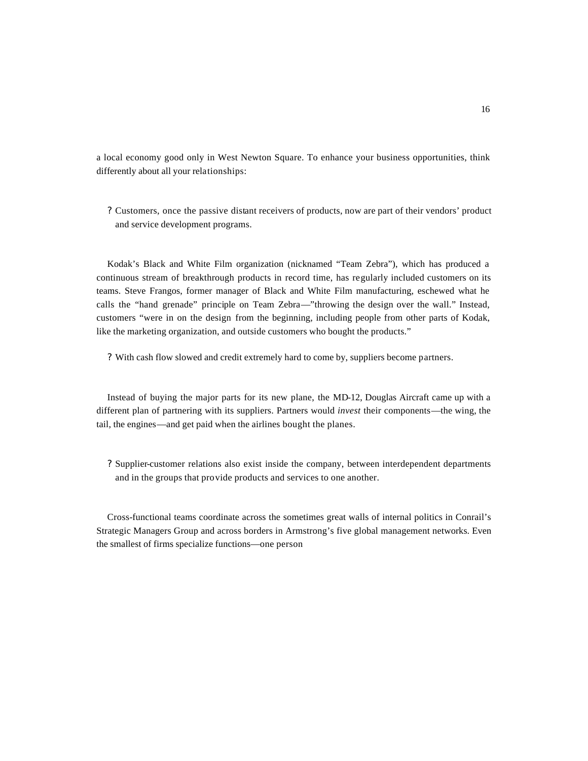a local economy good only in West Newton Square. To enhance your business opportunities, think differently about all your relationships:

? Customers, once the passive distant receivers of products, now are part of their vendors' product and service development programs.

Kodak's Black and White Film organization (nicknamed "Team Zebra"), which has produced a continuous stream of breakthrough products in record time, has regularly included customers on its teams. Steve Frangos, former manager of Black and White Film manufacturing, eschewed what he calls the "hand grenade" principle on Team Zebra—"throwing the design over the wall." Instead, customers "were in on the design from the beginning, including people from other parts of Kodak, like the marketing organization, and outside customers who bought the products."

? With cash flow slowed and credit extremely hard to come by, suppliers become partners.

Instead of buying the major parts for its new plane, the MD-12, Douglas Aircraft came up with a different plan of partnering with its suppliers. Partners would *invest* their components—the wing, the tail, the engines—and get paid when the airlines bought the planes.

? Supplier-customer relations also exist inside the company, between interdependent departments and in the groups that provide products and services to one another.

Cross-functional teams coordinate across the sometimes great walls of internal politics in Conrail's Strategic Managers Group and across borders in Armstrong's five global management networks. Even the smallest of firms specialize functions—one person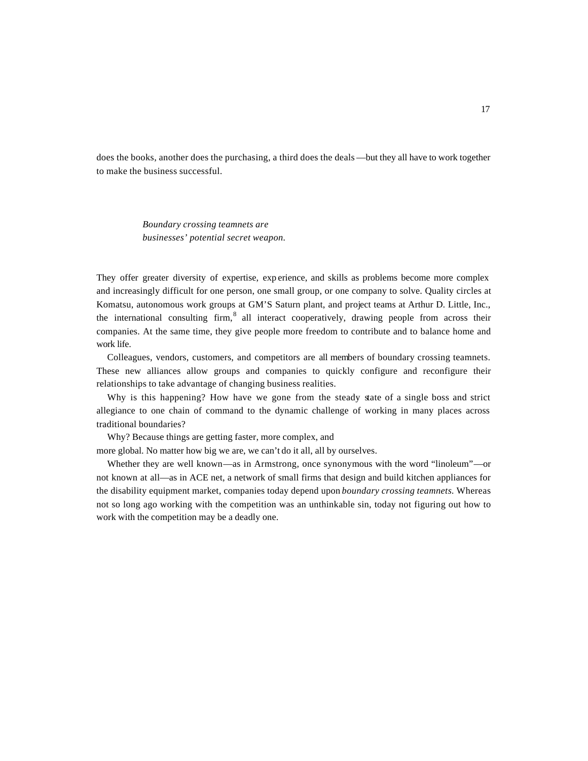does the books, another does the purchasing, a third does the deals —but they all have to work together to make the business successful.

> *Boundary crossing teamnets are businesses' potential secret weapon.*

They offer greater diversity of expertise, exp erience, and skills as problems become more complex and increasingly difficult for one person, one small group, or one company to solve. Quality circles at Komatsu, autonomous work groups at GM'S Saturn plant, and project teams at Arthur D. Little, Inc., the international consulting firm, $8$  all interact cooperatively, drawing people from across their companies. At the same time, they give people more freedom to contribute and to balance home and work life.

Colleagues, vendors, customers, and competitors are all members of boundary crossing teamnets. These new alliances allow groups and companies to quickly configure and reconfigure their relationships to take advantage of changing business realities.

Why is this happening? How have we gone from the steady state of a single boss and strict allegiance to one chain of command to the dynamic challenge of working in many places across traditional boundaries?

Why? Because things are getting faster, more complex, and

more global. No matter how big we are, we can't do it all, all by ourselves.

Whether they are well known—as in Armstrong, once synonymous with the word "linoleum"—or not known at all—as in ACE net, a network of small firms that design and build kitchen appliances for the disability equipment market, companies today depend upon *boundary crossing teamnets.* Whereas not so long ago working with the competition was an unthinkable sin, today not figuring out how to work with the competition may be a deadly one.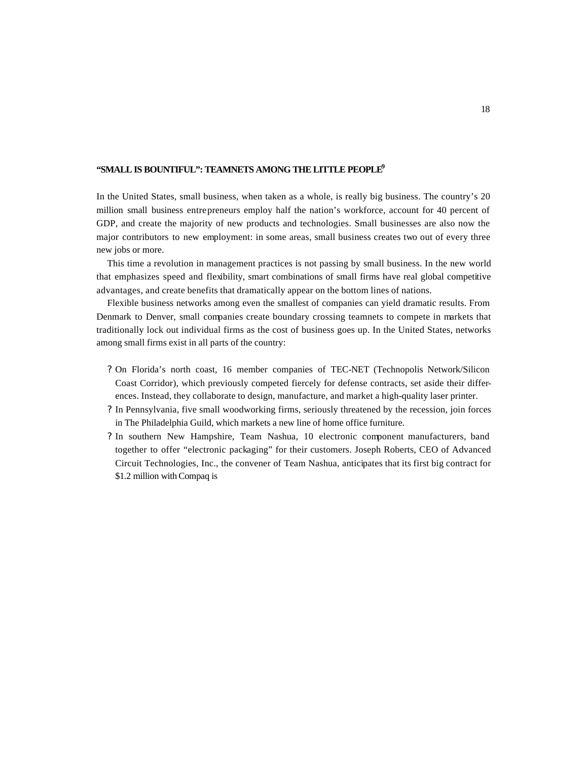# **"SMALL IS BOUNTIFUL": TEAMNETS AMONG THE LITTLE PEOPLE<sup>9</sup>**

In the United States, small business, when taken as a whole, is really big business. The country's 20 million small business entrepreneurs employ half the nation's workforce, account for 40 percent of GDP, and create the majority of new products and technologies. Small businesses are also now the major contributors to new employment: in some areas, small business creates two out of every three new jobs or more.

This time a revolution in management practices is not passing by small business. In the new world that emphasizes speed and flexibility, smart combinations of small firms have real global competitive advantages, and create benefits that dramatically appear on the bottom lines of nations.

Flexible business networks among even the smallest of companies can yield dramatic results. From Denmark to Denver, small companies create boundary crossing teamnets to compete in markets that traditionally lock out individual firms as the cost of business goes up. In the United States, networks among small firms exist in all parts of the country:

- ? On Florida's north coast, 16 member companies of TEC-NET (Technopolis Network/Silicon Coast Corridor), which previously competed fiercely for defense contracts, set aside their differences. Instead, they collaborate to design, manufacture, and market a high-quality laser printer.
- ? In Pennsylvania, five small woodworking firms, seriously threatened by the recession, join forces in The Philadelphia Guild, which markets a new line of home office furniture.
- ? In southern New Hampshire, Team Nashua, 10 electronic component manufacturers, band together to offer "electronic packaging" for their customers. Joseph Roberts, CEO of Advanced Circuit Technologies, Inc., the convener of Team Nashua, anticipates that its first big contract for \$1.2 million with Compaq is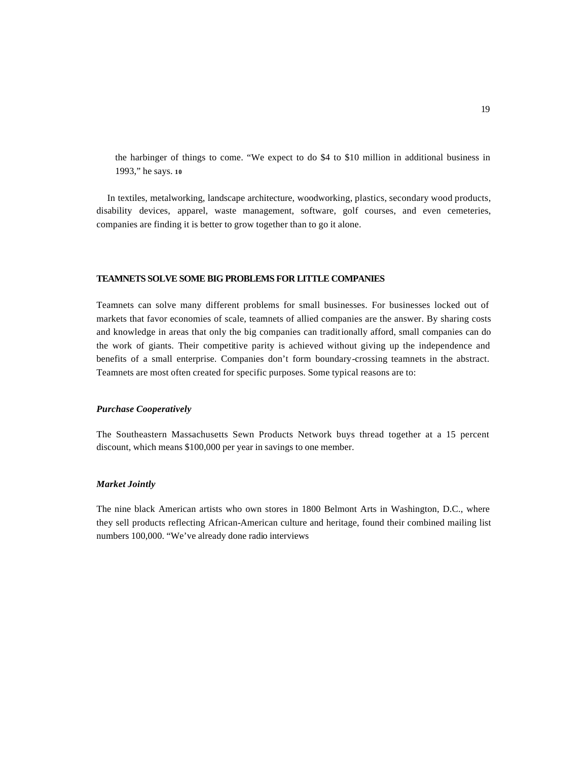the harbinger of things to come. "We expect to do \$4 to \$10 million in additional business in 1993," he says. **<sup>10</sup>**

In textiles, metalworking, landscape architecture, woodworking, plastics, secondary wood products, disability devices, apparel, waste management, software, golf courses, and even cemeteries, companies are finding it is better to grow together than to go it alone.

#### **TEAMNETS SOLVE SOME BIG PROBLEMS FOR LITTLE COMPANIES**

Teamnets can solve many different problems for small businesses. For businesses locked out of markets that favor economies of scale, teamnets of allied companies are the answer. By sharing costs and knowledge in areas that only the big companies can traditionally afford, small companies can do the work of giants. Their competitive parity is achieved without giving up the independence and benefits of a small enterprise. Companies don't form boundary-crossing teamnets in the abstract. Teamnets are most often created for specific purposes. Some typical reasons are to:

#### *Purchase Cooperatively*

The Southeastern Massachusetts Sewn Products Network buys thread together at a 15 percent discount, which means \$100,000 per year in savings to one member.

#### *Market Jointly*

The nine black American artists who own stores in 1800 Belmont Arts in Washington, D.C., where they sell products reflecting African-American culture and heritage, found their combined mailing list numbers 100,000. "We've already done radio interviews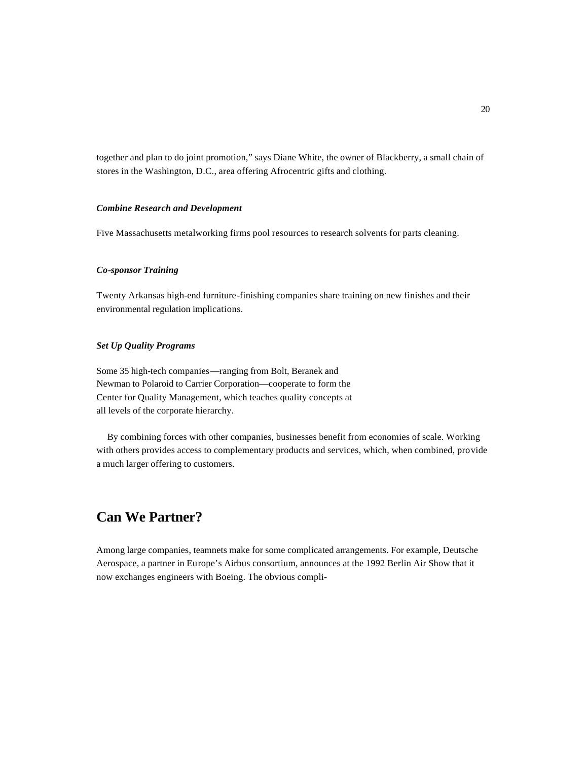together and plan to do joint promotion," says Diane White, the owner of Blackberry, a small chain of stores in the Washington, D.C., area offering Afrocentric gifts and clothing.

#### *Combine Research and Development*

Five Massachusetts metalworking firms pool resources to research solvents for parts cleaning.

# *Co-sponsor Training*

Twenty Arkansas high-end furniture-finishing companies share training on new finishes and their environmental regulation implications.

# *Set Up Quality Programs*

Some 35 high-tech companies—ranging from Bolt, Beranek and Newman to Polaroid to Carrier Corporation—cooperate to form the Center for Quality Management, which teaches quality concepts at all levels of the corporate hierarchy.

By combining forces with other companies, businesses benefit from economies of scale. Working with others provides access to complementary products and services, which, when combined, provide a much larger offering to customers.

# **Can We Partner?**

Among large companies, teamnets make for some complicated arrangements. For example, Deutsche Aerospace, a partner in Europe's Airbus consortium, announces at the 1992 Berlin Air Show that it now exchanges engineers with Boeing. The obvious compli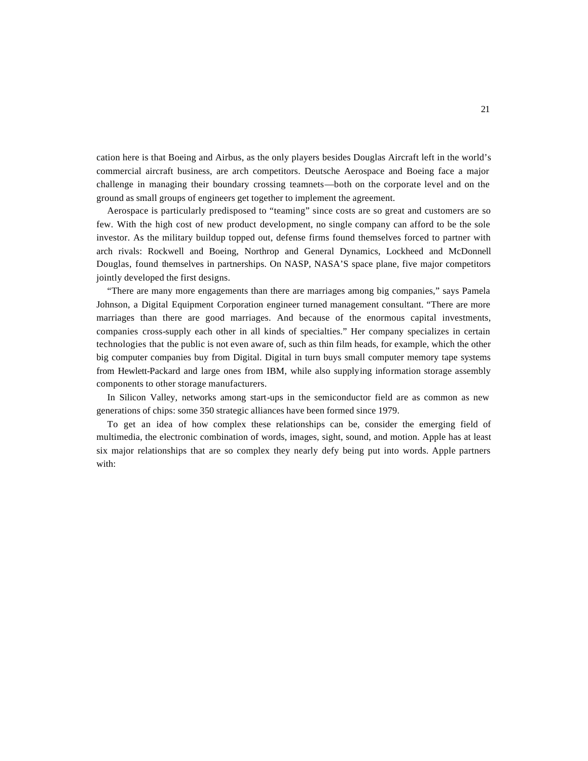cation here is that Boeing and Airbus, as the only players besides Douglas Aircraft left in the world's commercial aircraft business, are arch competitors. Deutsche Aerospace and Boeing face a major challenge in managing their boundary crossing teamnets—both on the corporate level and on the ground as small groups of engineers get together to implement the agreement.

Aerospace is particularly predisposed to "teaming" since costs are so great and customers are so few. With the high cost of new product development, no single company can afford to be the sole investor. As the military buildup topped out, defense firms found themselves forced to partner with arch rivals: Rockwell and Boeing, Northrop and General Dynamics, Lockheed and McDonnell Douglas, found themselves in partnerships. On NASP, NASA'S space plane, five major competitors jointly developed the first designs.

"There are many more engagements than there are marriages among big companies," says Pamela Johnson, a Digital Equipment Corporation engineer turned management consultant. "There are more marriages than there are good marriages. And because of the enormous capital investments, companies cross-supply each other in all kinds of specialties." Her company specializes in certain technologies that the public is not even aware of, such as thin film heads, for example, which the other big computer companies buy from Digital. Digital in turn buys small computer memory tape systems from Hewlett-Packard and large ones from IBM, while also supplying information storage assembly components to other storage manufacturers.

In Silicon Valley, networks among start-ups in the semiconductor field are as common as new generations of chips: some 350 strategic alliances have been formed since 1979.

To get an idea of how complex these relationships can be, consider the emerging field of multimedia, the electronic combination of words, images, sight, sound, and motion. Apple has at least six major relationships that are so complex they nearly defy being put into words. Apple partners with: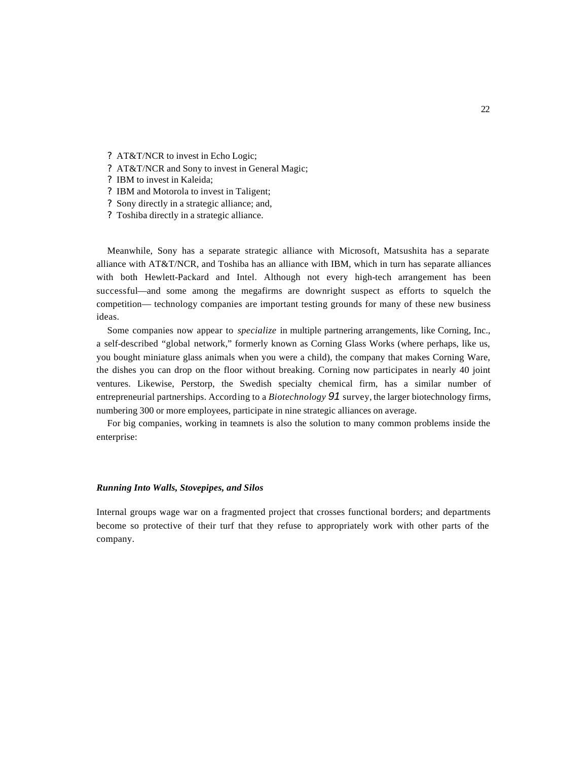- ? AT&T/NCR to invest in Echo Logic;
- ? AT&T/NCR and Sony to invest in General Magic;
- ? IBM to invest in Kaleida;
- ? IBM and Motorola to invest in Taligent;
- ? Sony directly in a strategic alliance; and,
- ? Toshiba directly in a strategic alliance.

Meanwhile, Sony has a separate strategic alliance with Microsoft, Matsushita has a separate alliance with AT&T/NCR, and Toshiba has an alliance with IBM, which in turn has separate alliances with both Hewlett-Packard and Intel. Although not every high-tech arrangement has been successful—and some among the megafirms are downright suspect as efforts to squelch the competition— technology companies are important testing grounds for many of these new business ideas.

Some companies now appear to *specialize* in multiple partnering arrangements, like Corning, Inc., a self-described "global network," formerly known as Corning Glass Works (where perhaps, like us, you bought miniature glass animals when you were a child), the company that makes Corning Ware, the dishes you can drop on the floor without breaking. Corning now participates in nearly 40 joint ventures. Likewise, Perstorp, the Swedish specialty chemical firm, has a similar number of entrepreneurial partnerships. According to a *Biotechnology 91* survey, the larger biotechnology firms, numbering 300 or more employees, participate in nine strategic alliances on average.

For big companies, working in teamnets is also the solution to many common problems inside the enterprise:

# *Running Into Walls, Stovepipes, and Silos*

Internal groups wage war on a fragmented project that crosses functional borders; and departments become so protective of their turf that they refuse to appropriately work with other parts of the company.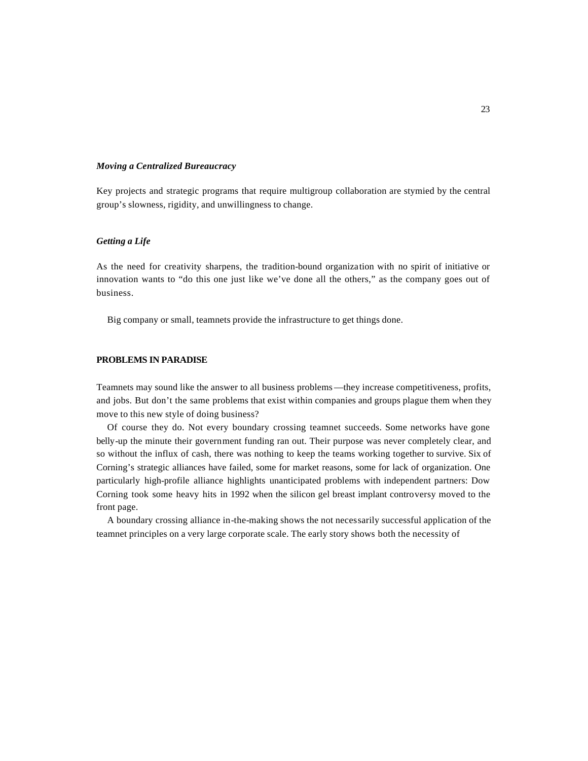#### *Moving a Centralized Bureaucracy*

Key projects and strategic programs that require multigroup collaboration are stymied by the central group's slowness, rigidity, and unwillingness to change.

## *Getting a Life*

As the need for creativity sharpens, the tradition-bound organization with no spirit of initiative or innovation wants to "do this one just like we've done all the others," as the company goes out of business.

Big company or small, teamnets provide the infrastructure to get things done.

# **PROBLEMS IN PARADISE**

Teamnets may sound like the answer to all business problems—they increase competitiveness, profits, and jobs. But don't the same problems that exist within companies and groups plague them when they move to this new style of doing business?

Of course they do. Not every boundary crossing teamnet succeeds. Some networks have gone belly-up the minute their government funding ran out. Their purpose was never completely clear, and so without the influx of cash, there was nothing to keep the teams working together to survive. Six of Corning's strategic alliances have failed, some for market reasons, some for lack of organization. One particularly high-profile alliance highlights unanticipated problems with independent partners: Dow Corning took some heavy hits in 1992 when the silicon gel breast implant controversy moved to the front page.

A boundary crossing alliance in-the-making shows the not necessarily successful application of the teamnet principles on a very large corporate scale. The early story shows both the necessity of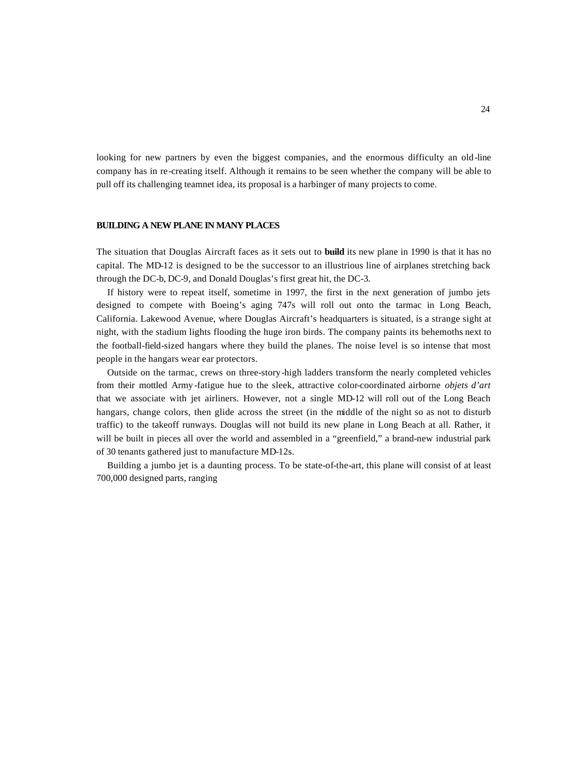looking for new partners by even the biggest companies, and the enormous difficulty an old-line company has in re-creating itself. Although it remains to be seen whether the company will be able to pull off its challenging teamnet idea, its proposal is a harbinger of many projects to come.

#### **BUILDING A NEW PLANE IN MANY PLACES**

The situation that Douglas Aircraft faces as it sets out to **build** its new plane in 1990 is that it has no capital. The MD-12 is designed to be the successor to an illustrious line of airplanes stretching back through the DC-b, DC-9, and Donald Douglas's first great hit, the DC-3.

If history were to repeat itself, sometime in 1997, the first in the next generation of jumbo jets designed to compete with Boeing's aging 747s will roll out onto the tarmac in Long Beach, California. Lakewood Avenue, where Douglas Aircraft's headquarters is situated, is a strange sight at night, with the stadium lights flooding the huge iron birds. The company paints its behemoths next to the football-field-sized hangars where they build the planes. The noise level is so intense that most people in the hangars wear ear protectors.

Outside on the tarmac, crews on three-story-high ladders transform the nearly completed vehicles from their mottled Army -fatigue hue to the sleek, attractive color-coordinated airborne *objets d'art*  that we associate with jet airliners. However, not a single MD-12 will roll out of the Long Beach hangars, change colors, then glide across the street (in the middle of the night so as not to disturb traffic) to the takeoff runways. Douglas will not build its new plane in Long Beach at all. Rather, it will be built in pieces all over the world and assembled in a "greenfield," a brand-new industrial park of 30 tenants gathered just to manufacture MD-12s.

Building a jumbo jet is a daunting process. To be state-of-the-art, this plane will consist of at least 700,000 designed parts, ranging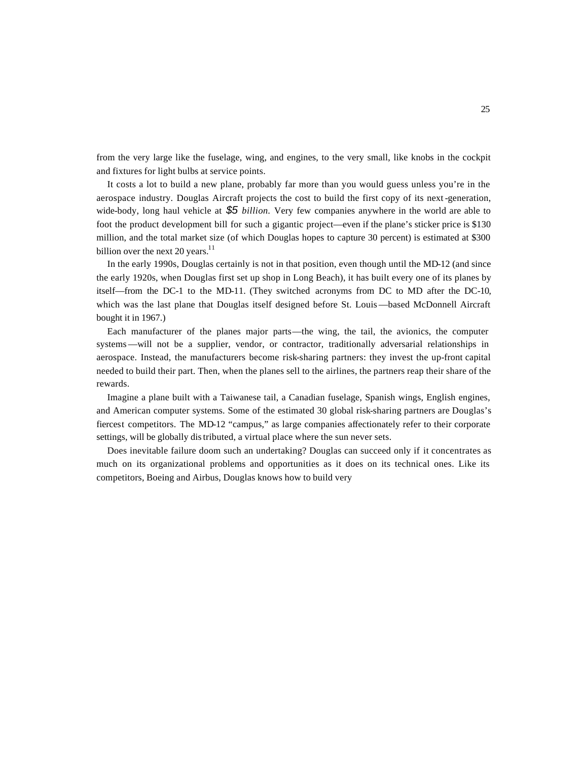from the very large like the fuselage, wing, and engines, to the very small, like knobs in the cockpit and fixtures for light bulbs at service points.

It costs a lot to build a new plane, probably far more than you would guess unless you're in the aerospace industry. Douglas Aircraft projects the cost to build the first copy of its next-generation, wide-body, long haul vehicle at *\$5 billion.* Very few companies anywhere in the world are able to foot the product development bill for such a gigantic project—even if the plane's sticker price is \$130 million, and the total market size (of which Douglas hopes to capture 30 percent) is estimated at \$300 billion over the next 20 years.<sup>11</sup>

In the early 1990s, Douglas certainly is not in that position, even though until the MD-12 (and since the early 1920s, when Douglas first set up shop in Long Beach), it has built every one of its planes by itself—from the DC-1 to the MD-11. (They switched acronyms from DC to MD after the DC-10, which was the last plane that Douglas itself designed before St. Louis—based McDonnell Aircraft bought it in 1967.)

Each manufacturer of the planes major parts—the wing, the tail, the avionics, the computer systems—will not be a supplier, vendor, or contractor, traditionally adversarial relationships in aerospace. Instead, the manufacturers become risk-sharing partners: they invest the up-front capital needed to build their part. Then, when the planes sell to the airlines, the partners reap their share of the rewards.

Imagine a plane built with a Taiwanese tail, a Canadian fuselage, Spanish wings, English engines, and American computer systems. Some of the estimated 30 global risk-sharing partners are Douglas's fiercest competitors. The MD-12 "campus," as large companies affectionately refer to their corporate settings, will be globally distributed, a virtual place where the sun never sets.

Does inevitable failure doom such an undertaking? Douglas can succeed only if it concentrates as much on its organizational problems and opportunities as it does on its technical ones. Like its competitors, Boeing and Airbus, Douglas knows how to build very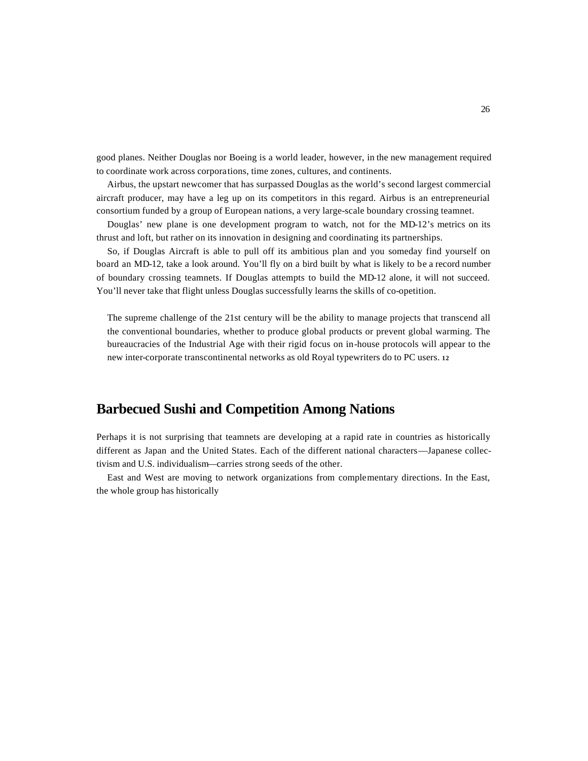good planes. Neither Douglas nor Boeing is a world leader, however, in the new management required to coordinate work across corporations, time zones, cultures, and continents.

Airbus, the upstart newcomer that has surpassed Douglas as the world's second largest commercial aircraft producer, may have a leg up on its competitors in this regard. Airbus is an entrepreneurial consortium funded by a group of European nations, a very large-scale boundary crossing teamnet.

Douglas' new plane is one development program to watch, not for the MD-12's metrics on its thrust and loft, but rather on its innovation in designing and coordinating its partnerships.

So, if Douglas Aircraft is able to pull off its ambitious plan and you someday find yourself on board an MD-12, take a look around. You'll fly on a bird built by what is likely to be a record number of boundary crossing teamnets. If Douglas attempts to build the MD-12 alone, it will not succeed. You'll never take that flight unless Douglas successfully learns the skills of co-opetition.

The supreme challenge of the 21st century will be the ability to manage projects that transcend all the conventional boundaries, whether to produce global products or prevent global warming. The bureaucracies of the Industrial Age with their rigid focus on in-house protocols will appear to the new inter-corporate transcontinental networks as old Royal typewriters do to PC users. **<sup>12</sup>**

# **Barbecued Sushi and Competition Among Nations**

Perhaps it is not surprising that teamnets are developing at a rapid rate in countries as historically different as Japan and the United States. Each of the different national characters—Japanese collectivism and U.S. individualism—carries strong seeds of the other.

East and West are moving to network organizations from complementary directions. In the East, the whole group has historically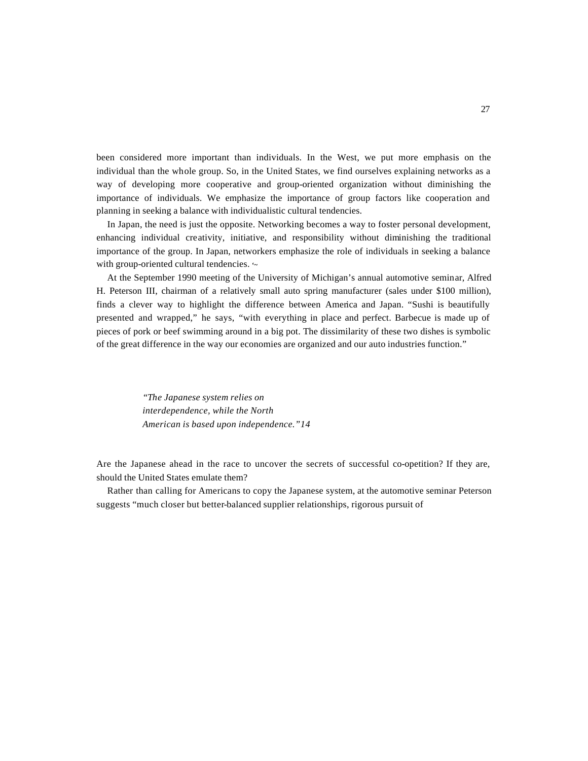been considered more important than individuals. In the West, we put more emphasis on the individual than the whole group. So, in the United States, we find ourselves explaining networks as a way of developing more cooperative and group-oriented organization without diminishing the importance of individuals. We emphasize the importance of group factors like cooperation and planning in seeking a balance with individualistic cultural tendencies.

In Japan, the need is just the opposite. Networking becomes a way to foster personal development, enhancing individual creativity, initiative, and responsibility without diminishing the traditional importance of the group. In Japan, networkers emphasize the role of individuals in seeking a balance with group-oriented cultural tendencies. **'~**

At the September 1990 meeting of the University of Michigan's annual automotive seminar, Alfred H. Peterson III, chairman of a relatively small auto spring manufacturer (sales under \$100 million), finds a clever way to highlight the difference between America and Japan. "Sushi is beautifully presented and wrapped," he says, "with everything in place and perfect. Barbecue is made up of pieces of pork or beef swimming around in a big pot. The dissimilarity of these two dishes is symbolic of the great difference in the way our economies are organized and our auto industries function."

> *"The Japanese system relies on interdependence, while the North American is based upon independence."14*

Are the Japanese ahead in the race to uncover the secrets of successful co-opetition? If they are, should the United States emulate them?

Rather than calling for Americans to copy the Japanese system, at the automotive seminar Peterson suggests "much closer but better-balanced supplier relationships, rigorous pursuit of